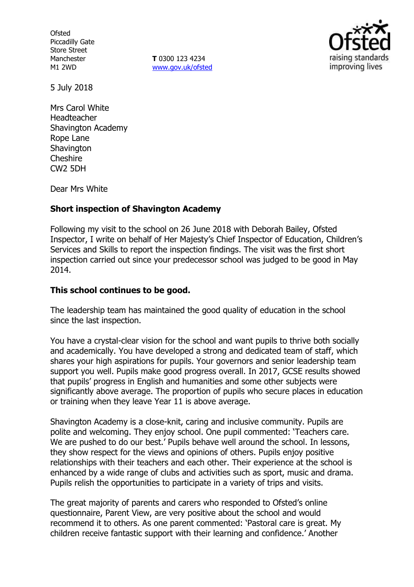**Ofsted** Piccadilly Gate Store Street Manchester M1 2WD

**T** 0300 123 4234 www.gov.uk/ofsted



5 July 2018

Mrs Carol White Headteacher Shavington Academy Rope Lane **Shavington Cheshire** CW2 5DH

Dear Mrs White

## **Short inspection of Shavington Academy**

Following my visit to the school on 26 June 2018 with Deborah Bailey, Ofsted Inspector, I write on behalf of Her Majesty's Chief Inspector of Education, Children's Services and Skills to report the inspection findings. The visit was the first short inspection carried out since your predecessor school was judged to be good in May 2014.

### **This school continues to be good.**

The leadership team has maintained the good quality of education in the school since the last inspection.

You have a crystal-clear vision for the school and want pupils to thrive both socially and academically. You have developed a strong and dedicated team of staff, which shares your high aspirations for pupils. Your governors and senior leadership team support you well. Pupils make good progress overall. In 2017, GCSE results showed that pupils' progress in English and humanities and some other subjects were significantly above average. The proportion of pupils who secure places in education or training when they leave Year 11 is above average.

Shavington Academy is a close-knit, caring and inclusive community. Pupils are polite and welcoming. They enjoy school. One pupil commented: 'Teachers care. We are pushed to do our best.' Pupils behave well around the school. In lessons, they show respect for the views and opinions of others. Pupils enjoy positive relationships with their teachers and each other. Their experience at the school is enhanced by a wide range of clubs and activities such as sport, music and drama. Pupils relish the opportunities to participate in a variety of trips and visits.

The great majority of parents and carers who responded to Ofsted's online questionnaire, Parent View, are very positive about the school and would recommend it to others. As one parent commented: 'Pastoral care is great. My children receive fantastic support with their learning and confidence.' Another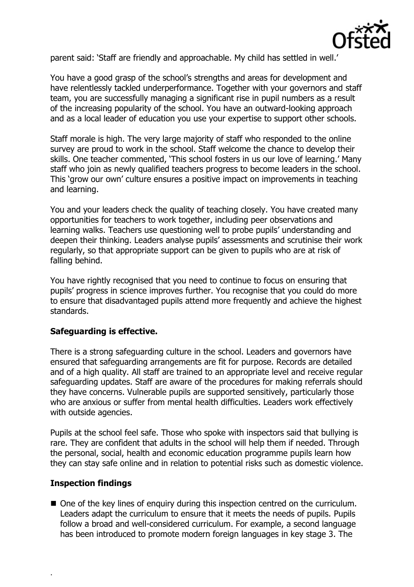

parent said: 'Staff are friendly and approachable. My child has settled in well.'

You have a good grasp of the school's strengths and areas for development and have relentlessly tackled underperformance. Together with your governors and staff team, you are successfully managing a significant rise in pupil numbers as a result of the increasing popularity of the school. You have an outward-looking approach and as a local leader of education you use your expertise to support other schools.

Staff morale is high. The very large majority of staff who responded to the online survey are proud to work in the school. Staff welcome the chance to develop their skills. One teacher commented, 'This school fosters in us our love of learning.' Many staff who join as newly qualified teachers progress to become leaders in the school. This 'grow our own' culture ensures a positive impact on improvements in teaching and learning.

You and your leaders check the quality of teaching closely. You have created many opportunities for teachers to work together, including peer observations and learning walks. Teachers use questioning well to probe pupils' understanding and deepen their thinking. Leaders analyse pupils' assessments and scrutinise their work regularly, so that appropriate support can be given to pupils who are at risk of falling behind.

You have rightly recognised that you need to continue to focus on ensuring that pupils' progress in science improves further. You recognise that you could do more to ensure that disadvantaged pupils attend more frequently and achieve the highest standards.

## **Safeguarding is effective.**

There is a strong safeguarding culture in the school. Leaders and governors have ensured that safeguarding arrangements are fit for purpose. Records are detailed and of a high quality. All staff are trained to an appropriate level and receive regular safeguarding updates. Staff are aware of the procedures for making referrals should they have concerns. Vulnerable pupils are supported sensitively, particularly those who are anxious or suffer from mental health difficulties. Leaders work effectively with outside agencies.

Pupils at the school feel safe. Those who spoke with inspectors said that bullying is rare. They are confident that adults in the school will help them if needed. Through the personal, social, health and economic education programme pupils learn how they can stay safe online and in relation to potential risks such as domestic violence.

#### **Inspection findings**

.

■ One of the key lines of enguiry during this inspection centred on the curriculum. Leaders adapt the curriculum to ensure that it meets the needs of pupils. Pupils follow a broad and well-considered curriculum. For example, a second language has been introduced to promote modern foreign languages in key stage 3. The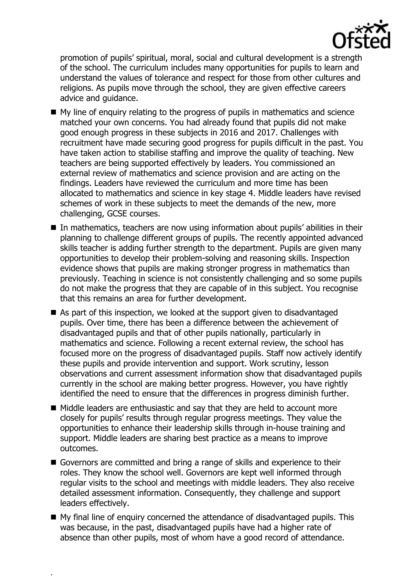

promotion of pupils' spiritual, moral, social and cultural development is a strength of the school. The curriculum includes many opportunities for pupils to learn and understand the values of tolerance and respect for those from other cultures and religions. As pupils move through the school, they are given effective careers advice and guidance.

- $\blacksquare$  My line of enguiry relating to the progress of pupils in mathematics and science matched your own concerns. You had already found that pupils did not make good enough progress in these subjects in 2016 and 2017. Challenges with recruitment have made securing good progress for pupils difficult in the past. You have taken action to stabilise staffing and improve the quality of teaching. New teachers are being supported effectively by leaders. You commissioned an external review of mathematics and science provision and are acting on the findings. Leaders have reviewed the curriculum and more time has been allocated to mathematics and science in key stage 4. Middle leaders have revised schemes of work in these subjects to meet the demands of the new, more challenging, GCSE courses.
- In mathematics, teachers are now using information about pupils' abilities in their planning to challenge different groups of pupils. The recently appointed advanced skills teacher is adding further strength to the department. Pupils are given many opportunities to develop their problem-solving and reasoning skills. Inspection evidence shows that pupils are making stronger progress in mathematics than previously. Teaching in science is not consistently challenging and so some pupils do not make the progress that they are capable of in this subject. You recognise that this remains an area for further development.
- As part of this inspection, we looked at the support given to disadvantaged pupils. Over time, there has been a difference between the achievement of disadvantaged pupils and that of other pupils nationally, particularly in mathematics and science. Following a recent external review, the school has focused more on the progress of disadvantaged pupils. Staff now actively identify these pupils and provide intervention and support. Work scrutiny, lesson observations and current assessment information show that disadvantaged pupils currently in the school are making better progress. However, you have rightly identified the need to ensure that the differences in progress diminish further.
- Middle leaders are enthusiastic and say that they are held to account more closely for pupils' results through regular progress meetings. They value the opportunities to enhance their leadership skills through in-house training and support. Middle leaders are sharing best practice as a means to improve outcomes.
- Governors are committed and bring a range of skills and experience to their roles. They know the school well. Governors are kept well informed through regular visits to the school and meetings with middle leaders. They also receive detailed assessment information. Consequently, they challenge and support leaders effectively.
- My final line of enquiry concerned the attendance of disadvantaged pupils. This was because, in the past, disadvantaged pupils have had a higher rate of absence than other pupils, most of whom have a good record of attendance.

.